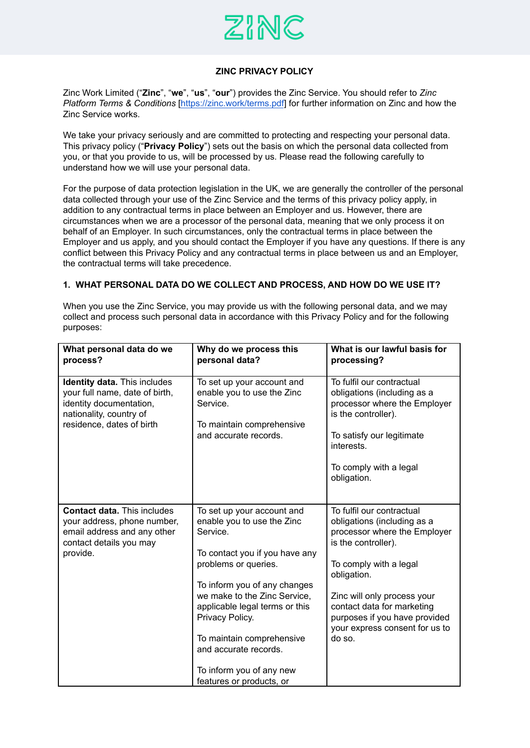

## **ZINC PRIVACY POLICY**

Zinc Work Limited ("**Zinc**", "**we**", "**us**", "**our**") provides the Zinc Service. You should refer to *Zinc Platform Terms & Conditions* [\[https://zinc.work/terms.pdf](https://zinc.work/terms.pdf)] for further information on Zinc and how the Zinc Service works.

We take your privacy seriously and are committed to protecting and respecting your personal data. This privacy policy ("**Privacy Policy**") sets out the basis on which the personal data collected from you, or that you provide to us, will be processed by us. Please read the following carefully to understand how we will use your personal data.

For the purpose of data protection legislation in the UK, we are generally the controller of the personal data collected through your use of the Zinc Service and the terms of this privacy policy apply, in addition to any contractual terms in place between an Employer and us. However, there are circumstances when we are a processor of the personal data, meaning that we only process it on behalf of an Employer. In such circumstances, only the contractual terms in place between the Employer and us apply, and you should contact the Employer if you have any questions. If there is any conflict between this Privacy Policy and any contractual terms in place between us and an Employer, the contractual terms will take precedence.

#### **1. WHAT PERSONAL DATA DO WE COLLECT AND PROCESS, AND HOW DO WE USE IT?**

When you use the Zinc Service, you may provide us with the following personal data, and we may collect and process such personal data in accordance with this Privacy Policy and for the following purposes:

| What personal data do we<br>process?                                                                                                                     | Why do we process this<br>personal data?                                                                                                                                                                                                                                                                                                                          | What is our lawful basis for<br>processing?                                                                                                                                                                                                                                                        |
|----------------------------------------------------------------------------------------------------------------------------------------------------------|-------------------------------------------------------------------------------------------------------------------------------------------------------------------------------------------------------------------------------------------------------------------------------------------------------------------------------------------------------------------|----------------------------------------------------------------------------------------------------------------------------------------------------------------------------------------------------------------------------------------------------------------------------------------------------|
| <b>Identity data.</b> This includes<br>your full name, date of birth,<br>identity documentation,<br>nationality, country of<br>residence, dates of birth | To set up your account and<br>enable you to use the Zinc<br>Service.<br>To maintain comprehensive<br>and accurate records.                                                                                                                                                                                                                                        | To fulfil our contractual<br>obligations (including as a<br>processor where the Employer<br>is the controller).<br>To satisfy our legitimate<br>interests.<br>To comply with a legal<br>obligation.                                                                                                |
| <b>Contact data. This includes</b><br>your address, phone number,<br>email address and any other<br>contact details you may<br>provide.                  | To set up your account and<br>enable you to use the Zinc<br>Service.<br>To contact you if you have any<br>problems or queries.<br>To inform you of any changes<br>we make to the Zinc Service,<br>applicable legal terms or this<br>Privacy Policy.<br>To maintain comprehensive<br>and accurate records.<br>To inform you of any new<br>features or products, or | To fulfil our contractual<br>obligations (including as a<br>processor where the Employer<br>is the controller).<br>To comply with a legal<br>obligation.<br>Zinc will only process your<br>contact data for marketing<br>purposes if you have provided<br>your express consent for us to<br>do so. |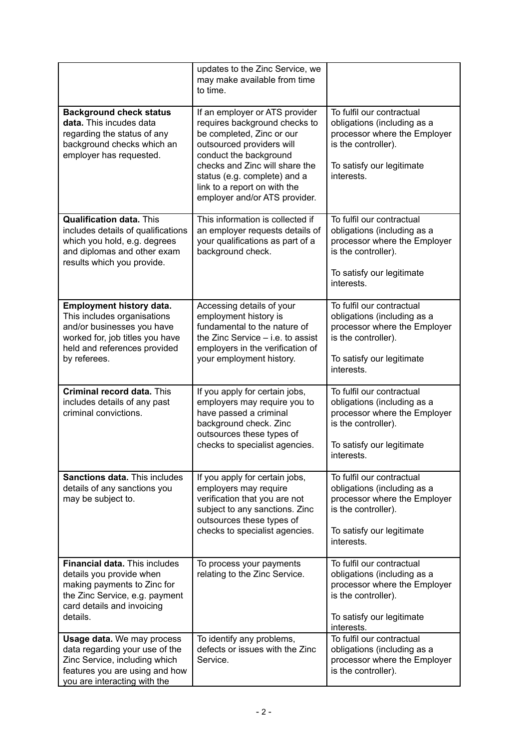|                                                                                                                                                                             | updates to the Zinc Service, we<br>may make available from time<br>to time.                                                                                                                                                                                                            |                                                                                                                                                            |
|-----------------------------------------------------------------------------------------------------------------------------------------------------------------------------|----------------------------------------------------------------------------------------------------------------------------------------------------------------------------------------------------------------------------------------------------------------------------------------|------------------------------------------------------------------------------------------------------------------------------------------------------------|
| <b>Background check status</b><br>data. This incudes data<br>regarding the status of any<br>background checks which an<br>employer has requested.                           | If an employer or ATS provider<br>requires background checks to<br>be completed, Zinc or our<br>outsourced providers will<br>conduct the background<br>checks and Zinc will share the<br>status (e.g. complete) and a<br>link to a report on with the<br>employer and/or ATS provider. | To fulfil our contractual<br>obligations (including as a<br>processor where the Employer<br>is the controller).<br>To satisfy our legitimate<br>interests. |
| <b>Qualification data. This</b><br>includes details of qualifications<br>which you hold, e.g. degrees<br>and diplomas and other exam<br>results which you provide.          | This information is collected if<br>an employer requests details of<br>your qualifications as part of a<br>background check.                                                                                                                                                           | To fulfil our contractual<br>obligations (including as a<br>processor where the Employer<br>is the controller).<br>To satisfy our legitimate<br>interests. |
| Employment history data.<br>This includes organisations<br>and/or businesses you have<br>worked for, job titles you have<br>held and references provided<br>by referees.    | Accessing details of your<br>employment history is<br>fundamental to the nature of<br>the Zinc Service - i.e. to assist<br>employers in the verification of<br>your employment history.                                                                                                | To fulfil our contractual<br>obligations (including as a<br>processor where the Employer<br>is the controller).<br>To satisfy our legitimate<br>interests. |
| <b>Criminal record data. This</b><br>includes details of any past<br>criminal convictions.                                                                                  | If you apply for certain jobs,<br>employers may require you to<br>have passed a criminal<br>background check. Zinc<br>outsources these types of<br>checks to specialist agencies.                                                                                                      | To fulfil our contractual<br>obligations (including as a<br>processor where the Employer<br>is the controller).<br>To satisfy our legitimate<br>interests. |
| <b>Sanctions data. This includes</b><br>details of any sanctions you<br>may be subject to.                                                                                  | If you apply for certain jobs,<br>employers may require<br>verification that you are not<br>subject to any sanctions. Zinc<br>outsources these types of<br>checks to specialist agencies.                                                                                              | To fulfil our contractual<br>obligations (including as a<br>processor where the Employer<br>is the controller).<br>To satisfy our legitimate<br>interests. |
| <b>Financial data.</b> This includes<br>details you provide when<br>making payments to Zinc for<br>the Zinc Service, e.g. payment<br>card details and invoicing<br>details. | To process your payments<br>relating to the Zinc Service.                                                                                                                                                                                                                              | To fulfil our contractual<br>obligations (including as a<br>processor where the Employer<br>is the controller).<br>To satisfy our legitimate<br>interests. |
| <b>Usage data.</b> We may process<br>data regarding your use of the<br>Zinc Service, including which<br>features you are using and how<br>you are interacting with the      | To identify any problems,<br>defects or issues with the Zinc<br>Service.                                                                                                                                                                                                               | To fulfil our contractual<br>obligations (including as a<br>processor where the Employer<br>is the controller).                                            |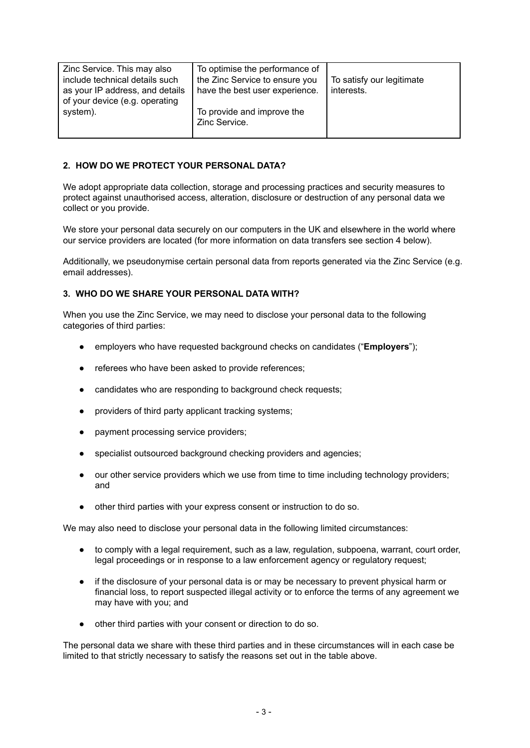| Zinc Service. This may also     | To optimise the performance of |                           |
|---------------------------------|--------------------------------|---------------------------|
| include technical details such  | the Zinc Service to ensure you | To satisfy our legitimate |
| as your IP address, and details | have the best user experience. | interests.                |
| of your device (e.g. operating  |                                |                           |
| system).                        | To provide and improve the     |                           |
|                                 | Zinc Service.                  |                           |
|                                 |                                |                           |

### **2. HOW DO WE PROTECT YOUR PERSONAL DATA?**

We adopt appropriate data collection, storage and processing practices and security measures to protect against unauthorised access, alteration, disclosure or destruction of any personal data we collect or you provide.

We store your personal data securely on our computers in the UK and elsewhere in the world where our service providers are located (for more information on data transfers see section 4 below).

Additionally, we pseudonymise certain personal data from reports generated via the Zinc Service (e.g. email addresses).

## **3. WHO DO WE SHARE YOUR PERSONAL DATA WITH?**

When you use the Zinc Service, we may need to disclose your personal data to the following categories of third parties:

- employers who have requested background checks on candidates ("**Employers**");
- referees who have been asked to provide references;
- candidates who are responding to background check requests;
- providers of third party applicant tracking systems;
- payment processing service providers;
- specialist outsourced background checking providers and agencies;
- our other service providers which we use from time to time including technology providers; and
- other third parties with your express consent or instruction to do so.

We may also need to disclose your personal data in the following limited circumstances:

- to comply with a legal requirement, such as a law, regulation, subpoena, warrant, court order, legal proceedings or in response to a law enforcement agency or regulatory request;
- if the disclosure of your personal data is or may be necessary to prevent physical harm or financial loss, to report suspected illegal activity or to enforce the terms of any agreement we may have with you; and
- other third parties with your consent or direction to do so.

The personal data we share with these third parties and in these circumstances will in each case be limited to that strictly necessary to satisfy the reasons set out in the table above.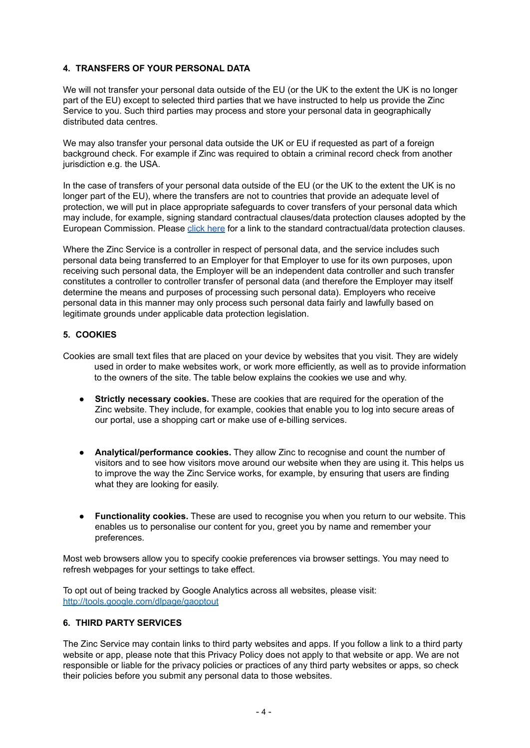## **4. TRANSFERS OF YOUR PERSONAL DATA**

We will not transfer your personal data outside of the EU (or the UK to the extent the UK is no longer part of the EU) except to selected third parties that we have instructed to help us provide the Zinc Service to you. Such third parties may process and store your personal data in geographically distributed data centres.

We may also transfer your personal data outside the UK or EU if requested as part of a foreign background check. For example if Zinc was required to obtain a criminal record check from another jurisdiction e.g. the USA.

In the case of transfers of your personal data outside of the EU (or the UK to the extent the UK is no longer part of the EU), where the transfers are not to countries that provide an adequate level of protection, we will put in place appropriate safeguards to cover transfers of your personal data which may include, for example, signing standard contractual clauses/data protection clauses adopted by the European Commission. Please click [here](https://ec.europa.eu/info/law/law-topic/data-protection_en) for a link to the standard contractual/data protection clauses.

Where the Zinc Service is a controller in respect of personal data, and the service includes such personal data being transferred to an Employer for that Employer to use for its own purposes, upon receiving such personal data, the Employer will be an independent data controller and such transfer constitutes a controller to controller transfer of personal data (and therefore the Employer may itself determine the means and purposes of processing such personal data). Employers who receive personal data in this manner may only process such personal data fairly and lawfully based on legitimate grounds under applicable data protection legislation.

# **5. COOKIES**

- Cookies are small text files that are placed on your device by websites that you visit. They are widely used in order to make websites work, or work more efficiently, as well as to provide information to the owners of the site. The table below explains the cookies we use and why.
	- **Strictly necessary cookies.** These are cookies that are required for the operation of the Zinc website. They include, for example, cookies that enable you to log into secure areas of our portal, use a shopping cart or make use of e-billing services.
	- **Analytical/performance cookies.** They allow Zinc to recognise and count the number of visitors and to see how visitors move around our website when they are using it. This helps us to improve the way the Zinc Service works, for example, by ensuring that users are finding what they are looking for easily.
	- **Functionality cookies.** These are used to recognise you when you return to our website. This enables us to personalise our content for you, greet you by name and remember your preferences.

Most web browsers allow you to specify cookie preferences via browser settings. You may need to refresh webpages for your settings to take effect.

To opt out of being tracked by Google Analytics across all websites, please visit: <http://tools.google.com/dlpage/gaoptout>

#### **6. THIRD PARTY SERVICES**

The Zinc Service may contain links to third party websites and apps. If you follow a link to a third party website or app, please note that this Privacy Policy does not apply to that website or app. We are not responsible or liable for the privacy policies or practices of any third party websites or apps, so check their policies before you submit any personal data to those websites.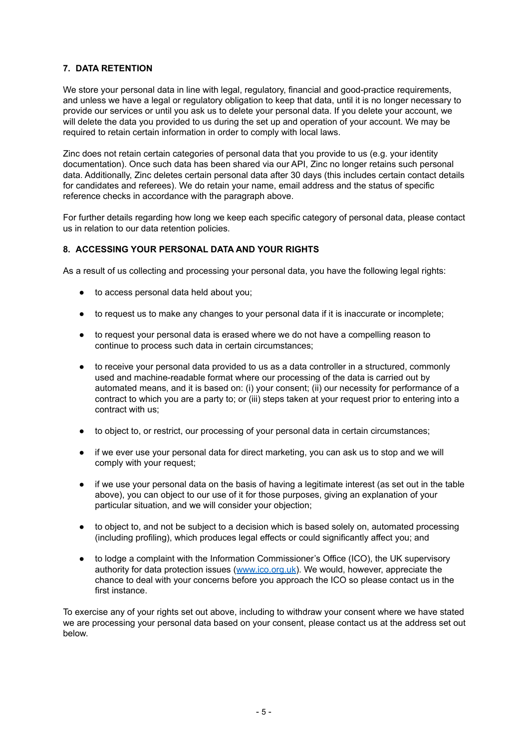### **7. DATA RETENTION**

We store your personal data in line with legal, regulatory, financial and good-practice requirements, and unless we have a legal or regulatory obligation to keep that data, until it is no longer necessary to provide our services or until you ask us to delete your personal data. If you delete your account, we will delete the data you provided to us during the set up and operation of your account. We may be required to retain certain information in order to comply with local laws.

Zinc does not retain certain categories of personal data that you provide to us (e.g. your identity documentation). Once such data has been shared via our API, Zinc no longer retains such personal data. Additionally, Zinc deletes certain personal data after 30 days (this includes certain contact details for candidates and referees). We do retain your name, email address and the status of specific reference checks in accordance with the paragraph above.

For further details regarding how long we keep each specific category of personal data, please contact us in relation to our data retention policies.

## **8. ACCESSING YOUR PERSONAL DATA AND YOUR RIGHTS**

As a result of us collecting and processing your personal data, you have the following legal rights:

- to access personal data held about you:
- to request us to make any changes to your personal data if it is inaccurate or incomplete;
- to request your personal data is erased where we do not have a compelling reason to continue to process such data in certain circumstances;
- to receive your personal data provided to us as a data controller in a structured, commonly used and machine-readable format where our processing of the data is carried out by automated means, and it is based on: (i) your consent; (ii) our necessity for performance of a contract to which you are a party to; or (iii) steps taken at your request prior to entering into a contract with us;
- to object to, or restrict, our processing of your personal data in certain circumstances;
- if we ever use your personal data for direct marketing, you can ask us to stop and we will comply with your request;
- if we use your personal data on the basis of having a legitimate interest (as set out in the table above), you can object to our use of it for those purposes, giving an explanation of your particular situation, and we will consider your objection;
- to object to, and not be subject to a decision which is based solely on, automated processing (including profiling), which produces legal effects or could significantly affect you; and
- to lodge a complaint with the Information Commissioner's Office (ICO), the UK supervisory authority for data protection issues ([www.ico.org.uk](http://www.ico.org.uk)). We would, however, appreciate the chance to deal with your concerns before you approach the ICO so please contact us in the first instance.

To exercise any of your rights set out above, including to withdraw your consent where we have stated we are processing your personal data based on your consent, please contact us at the address set out below.